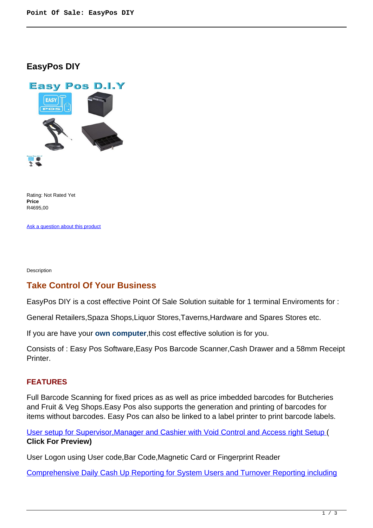## **EasyPos DIY**



Rating: Not Rated Yet **Price**  R4695,00

[Ask a question about this product](https://retailjhb.co.za/index.php?option=com_virtuemart&view=productdetails&task=askquestion&virtuemart_product_id=119&virtuemart_category_id=13&tmpl=component)

Description

# **Take Control Of Your Business**

EasyPos DIY is a cost effective Point Of Sale Solution suitable for 1 terminal Enviroments for :

General Retailers,Spaza Shops,Liquor Stores,Taverns,Hardware and Spares Stores etc.

If you are have your **own computer**,this cost effective solution is for you.

Consists of : Easy Pos Software,Easy Pos Barcode Scanner,Cash Drawer and a 58mm Receipt Printer.

### **FEATURES**

Full Barcode Scanning for fixed prices as as well as price imbedded barcodes for Butcheries and Fruit & Veg Shops.Easy Pos also supports the generation and printing of barcodes for items without barcodes. Easy Pos can also be linked to a label printer to print barcode labels.

[User setup for Supervisor,Manager and Cashier with Void Control and Access right Setup](images/retail/User_And_Security.jpg) ( **Click For Preview)**

User Logon using User code,Bar Code,Magnetic Card or Fingerprint Reader

[Comprehensive Daily Cash Up Reporting for System Users and Turnover Reporting including](images/retail/CashUpReport.jpg)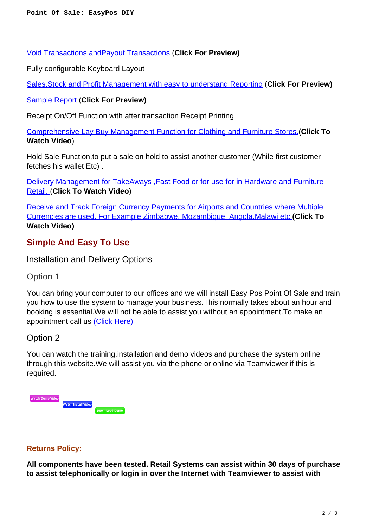[Void Transactions andPayout Transactions](images/retail/CashUpReport.jpg) (**Click For Preview)**

Fully configurable Keyboard Layout

[Sales,Stock and Profit Management with easy to understand Reporting](images/retail/Item_Sales_Report.jpg) (**Click For Preview)**

[Sample Report \(](images/retail/Item_Sales_Report.jpg)**Click For Preview)**

Receipt On/Off Function with after transaction Receipt Printing

[Comprehensive Lay Buy Management Function for Clothing and Furniture Stores.\(](index.php?option=com_content&view=article&id=22)**Click To Watch Video**)

Hold Sale Function,to put a sale on hold to assist another customer (While first customer fetches his wallet Etc) .

[Delivery Management for TakeAways ,Fast Food or for use for in Hardware and Furniture](index.php?option=com_content&view=article&id=21) [Retail. \(](index.php?option=com_content&view=article&id=21)**Click To Watch Video**)

[Receive and Track Foreign Currency Payments for Airports and Countries where Multiple](index.php?option=com_content&view=article&id=23) [Currencies are used. For Example Zimbabwe, Mozambique, Angola,Malawi etc](index.php?option=com_content&view=article&id=23) **(Click To Watch Video)**

# **Simple And Easy To Use**

Installation and Delivery Options

Option 1

You can bring your computer to our offices and we will install Easy Pos Point Of Sale and train you how to use the system to manage your business.This normally takes about an hour and booking is essential.We will not be able to assist you without an appointment.To make an appointment call us [\(Click Here\)](address)

### Option 2

You can watch the training,installation and demo videos and purchase the system online through this website.We will assist you via the phone or online via Teamviewer if this is required.



#### **Returns Policy:**

**All components have been tested. Retail Systems can assist within 30 days of purchase to assist telephonically or login in over the Internet with Teamviewer to assist with**